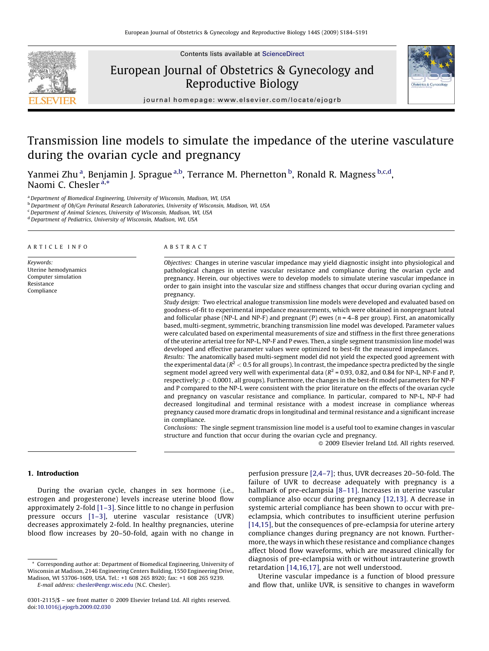

Contents lists available at [ScienceDirect](http://www.sciencedirect.com/science/journal/03012115)

# European Journal of Obstetrics & Gynecology and Reproductive Biology



journal homepage: www.elsevier.com/locate/ejogrb

# Transmission line models to simulate the impedance of the uterine vasculature during the ovarian cycle and pregnancy

Yanmei Zhu <sup>a</sup>, Benjamin J. Sprague <sup>a,b</sup>, Terrance M. Phernetton <sup>b</sup>, Ronald R. Magness <sup>b,c,d</sup>, Naomi C. Chesler<sup>a,\*</sup>

<sup>a</sup> Department of Biomedical Engineering, University of Wisconsin, Madison, WI, USA

<sup>b</sup> Department of Ob/Gyn Perinatal Research Laboratories, University of Wisconsin, Madison, WI, USA

<sup>c</sup> Department of Animal Sciences, University of Wisconsin, Madison, WI, USA

<sup>d</sup> Department of Pediatrics, University of Wisconsin, Madison, WI, USA

## ARTICLE INFO

Keywords: Uterine hemodynamics Computer simulation Resistance Compliance

# ABSTRACT

Objectives: Changes in uterine vascular impedance may yield diagnostic insight into physiological and pathological changes in uterine vascular resistance and compliance during the ovarian cycle and pregnancy. Herein, our objectives were to develop models to simulate uterine vascular impedance in order to gain insight into the vascular size and stiffness changes that occur during ovarian cycling and pregnancy.

Study design: Two electrical analogue transmission line models were developed and evaluated based on goodness-of-fit to experimental impedance measurements, which were obtained in nonpregnant luteal and follicular phase (NP-L and NP-F) and pregnant (P) ewes ( $n = 4-8$  per group). First, an anatomically based, multi-segment, symmetric, branching transmission line model was developed. Parameter values were calculated based on experimental measurements of size and stiffness in the first three generations of the uterine arterial tree for NP-L, NP-F and P ewes. Then, a single segment transmission line model was developed and effective parameter values were optimized to best-fit the measured impedances.

Results: The anatomically based multi-segment model did not yield the expected good agreement with the experimental data ( $R^2$  < 0.5 for all groups). In contrast, the impedance spectra predicted by the single segment model agreed very well with experimental data ( $R^2$  = 0.93, 0.82, and 0.84 for NP-L, NP-F and P, respectively; p < 0.0001, all groups). Furthermore, the changes in the best-fit model parameters for NP-F and P compared to the NP-L were consistent with the prior literature on the effects of the ovarian cycle and pregnancy on vascular resistance and compliance. In particular, compared to NP-L, NP-F had decreased longitudinal and terminal resistance with a modest increase in compliance whereas pregnancy caused more dramatic drops in longitudinal and terminal resistance and a significant increase in compliance.

Conclusions: The single segment transmission line model is a useful tool to examine changes in vascular structure and function that occur during the ovarian cycle and pregnancy.

- 2009 Elsevier Ireland Ltd. All rights reserved.

# 1. Introduction

During the ovarian cycle, changes in sex hormone (i.e., estrogen and progesterone) levels increase uterine blood flow approximately 2-fold [\[1–3\]](#page-7-0). Since little to no change in perfusion pressure occurs [\[1–3\],](#page-7-0) uterine vascular resistance (UVR) decreases approximately 2-fold. In healthy pregnancies, uterine blood flow increases by 20–50-fold, again with no change in perfusion pressure [\[2,4–7\];](#page-7-0) thus, UVR decreases 20–50-fold. The failure of UVR to decrease adequately with pregnancy is a hallmark of pre-eclampsia [\[8–11\].](#page-7-0) Increases in uterine vascular compliance also occur during pregnancy [\[12,13\]](#page-7-0). A decrease in systemic arterial compliance has been shown to occur with preeclampsia, which contributes to insufficient uterine perfusion [\[14,15\],](#page-7-0) but the consequences of pre-eclampsia for uterine artery compliance changes during pregnancy are not known. Furthermore, the ways in which these resistance and compliance changes affect blood flow waveforms, which are measured clinically for diagnosis of pre-eclampsia with or without intrauterine growth retardation [\[14,16,17\]](#page-7-0), are not well understood.

Uterine vascular impedance is a function of blood pressure and flow that, unlike UVR, is sensitive to changes in waveform

<sup>\*</sup> Corresponding author at: Department of Biomedical Engineering, University of Wisconsin at Madison, 2146 Engineering Centers Building, 1550 Engineering Drive, Madison, WI 53706-1609, USA. Tel.: +1 608 265 8920; fax: +1 608 265 9239.

E-mail address: [chesler@engr.wisc.edu](mailto:chesler@engr.wisc.edu) (N.C. Chesler).

 $0301-2115/\$  – see front matter  $\odot$  2009 Elsevier Ireland Ltd. All rights reserved. doi:[10.1016/j.ejogrb.2009.02.030](http://dx.doi.org/10.1016/j.ejogrb.2009.02.030)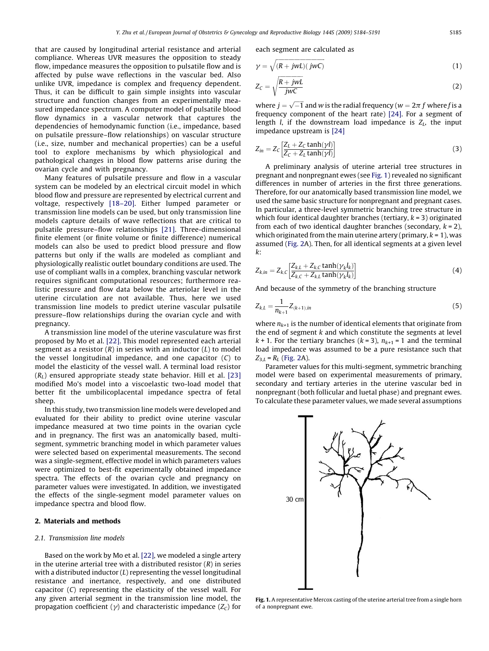<span id="page-1-0"></span>that are caused by longitudinal arterial resistance and arterial compliance. Whereas UVR measures the opposition to steady flow, impedance measures the opposition to pulsatile flow and is affected by pulse wave reflections in the vascular bed. Also unlike UVR, impedance is complex and frequency dependent. Thus, it can be difficult to gain simple insights into vascular structure and function changes from an experimentally measured impedance spectrum. A computer model of pulsatile blood flow dynamics in a vascular network that captures the dependencies of hemodynamic function (i.e., impedance, based on pulsatile pressure–flow relationships) on vascular structure (i.e., size, number and mechanical properties) can be a useful tool to explore mechanisms by which physiological and pathological changes in blood flow patterns arise during the ovarian cycle and with pregnancy.

Many features of pulsatile pressure and flow in a vascular system can be modeled by an electrical circuit model in which blood flow and pressure are represented by electrical current and voltage, respectively [\[18–20\].](#page-7-0) Either lumped parameter or transmission line models can be used, but only transmission line models capture details of wave reflections that are critical to pulsatile pressure–flow relationships [\[21\]](#page-7-0). Three-dimensional finite element (or finite volume or finite difference) numerical models can also be used to predict blood pressure and flow patterns but only if the walls are modeled as compliant and physiologically realistic outlet boundary conditions are used. The use of compliant walls in a complex, branching vascular network requires significant computational resources; furthermore realistic pressure and flow data below the arteriolar level in the uterine circulation are not available. Thus, here we used transmission line models to predict uterine vascular pulsatile pressure–flow relationships during the ovarian cycle and with pregnancy.

A transmission line model of the uterine vasculature was first proposed by Mo et al. [\[22\].](#page-7-0) This model represented each arterial segment as a resistor  $(R)$  in series with an inductor  $(L)$  to model the vessel longitudinal impedance, and one capacitor (C) to model the elasticity of the vessel wall. A terminal load resistor  $(R<sub>I</sub>)$  ensured appropriate steady state behavior. Hill et al. [\[23\]](#page-7-0) modified Mo's model into a viscoelastic two-load model that better fit the umbilicoplacental impedance spectra of fetal sheep.

In this study, two transmission line models were developed and evaluated for their ability to predict ovine uterine vascular impedance measured at two time points in the ovarian cycle and in pregnancy. The first was an anatomically based, multisegment, symmetric branching model in which parameter values were selected based on experimental measurements. The second was a single-segment, effective model in which parameters values were optimized to best-fit experimentally obtained impedance spectra. The effects of the ovarian cycle and pregnancy on parameter values were investigated. In addition, we investigated the effects of the single-segment model parameter values on impedance spectra and blood flow.

# 2. Materials and methods

## 2.1. Transmission line models

Based on the work by Mo et al. [\[22\],](#page-7-0) we modeled a single artery in the uterine arterial tree with a distributed resistor  $(R)$  in series with a distributed inductor  $(L)$  representing the vessel longitudinal resistance and inertance, respectively, and one distributed capacitor (C) representing the elasticity of the vessel wall. For any given arterial segment in the transmission line model, the propagation coefficient ( $\gamma$ ) and characteristic impedance ( $Z_c$ ) for each segment are calculated as

$$
\gamma = \sqrt{(R + jwL)(jwC)}\tag{1}
$$

$$
Z_C = \sqrt{\frac{R + jwL}{jwC}}\tag{2}
$$

where  $j = \sqrt{-1}$  and w is the radial frequency ( $w = 2\pi f$  where f is a frequency component of the heart rate) [\[24\]](#page-7-0). For a segment of length *l*, if the downstream load impedance is  $Z_l$ , the input impedance upstream is [\[24\]](#page-7-0)

$$
Z_{in} = Z_c \left[ \frac{Z_L + Z_c \tanh(\gamma l)}{Z_c + Z_L \tanh(\gamma l)} \right]
$$
\n(3)

A preliminary analysis of uterine arterial tree structures in pregnant and nonpregnant ewes (see Fig. 1) revealed no significant differences in number of arteries in the first three generations. Therefore, for our anatomically based transmission line model, we used the same basic structure for nonpregnant and pregnant cases. In particular, a three-level symmetric branching tree structure in which four identical daughter branches (tertiary,  $k = 3$ ) originated from each of two identical daughter branches (secondary,  $k = 2$ ), which originated from the main uterine artery (primary,  $k = 1$ ), was assumed ([Fig. 2A](#page-2-0)). Then, for all identical segments at a given level  $k$ 

$$
Z_{k,in} = Z_{k,C} \left[ \frac{Z_{k,L} + Z_{k,C} \tanh(\gamma_k l_k)}{Z_{k,C} + Z_{k,L} \tanh(\gamma_k l_k)} \right]
$$
(4)

And because of the symmetry of the branching structure

$$
Z_{k,L} = \frac{1}{n_{k+1}} Z_{(k+1),in} \tag{5}
$$

where  $n_{k+1}$  is the number of identical elements that originate from the end of segment  $k$  and which constitute the segments at level  $k + 1$ . For the tertiary branches ( $k = 3$ ),  $n_{k+1} = 1$  and the terminal load impedance was assumed to be a pure resistance such that  $Z_{3I} = R_I$  [\(Fig. 2A](#page-2-0)).

Parameter values for this multi-segment, symmetric branching model were based on experimental measurements of primary, secondary and tertiary arteries in the uterine vascular bed in nonpregnant (both follicular and luetal phase) and pregnant ewes. To calculate these parameter values, we made several assumptions



Fig. 1. A representative Mercox casting of the uterine arterial tree from a single horn of a nonpregnant ewe.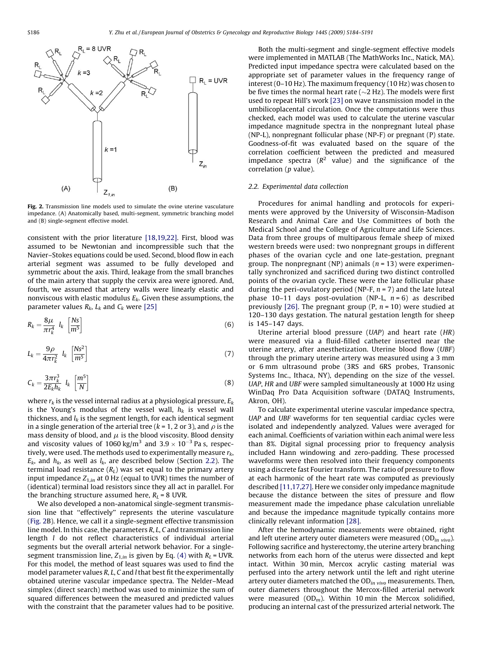<span id="page-2-0"></span>

Fig. 2. Transmission line models used to simulate the ovine uterine vasculature impedance. (A) Anatomically based, multi-segment, symmetric branching model and (B) single-segment effective model.

consistent with the prior literature [\[18,19,22\].](#page-7-0) First, blood was assumed to be Newtonian and incompressible such that the Navier–Stokes equations could be used. Second, blood flow in each arterial segment was assumed to be fully developed and symmetric about the axis. Third, leakage from the small branches of the main artery that supply the cervix area were ignored. And, fourth, we assumed that artery walls were linearly elastic and nonviscous with elastic modulus  $E_k$ . Given these assumptions, the parameter values  $R_k$ ,  $L_k$  and  $C_k$  were [\[25\]](#page-7-0)

$$
R_k = \frac{8\mu}{\pi r_k^4} \quad l_k \quad \left[\frac{Ns}{m^5}\right] \tag{6}
$$

$$
L_k = \frac{9\rho}{4\pi r_k^2} l_k \left[\frac{Ns^2}{m^5}\right] \tag{7}
$$

$$
C_k = \frac{3\pi r_k^3}{2E_k h_k} l_k \left[\frac{m^5}{N}\right]
$$
 (8)

where  $r_k$  is the vessel internal radius at a physiological pressure,  $E_k$ is the Young's modulus of the vessel wall,  $h_k$  is vessel wall thickness, and  $l_k$  is the segment length, for each identical segment in a single generation of the arterial tree ( $k = 1, 2$  or 3), and  $\rho$  is the mass density of blood, and  $\mu$  is the blood viscosity. Blood density and viscosity values of 1060 kg/m<sup>3</sup> and 3.9  $\times$  10<sup>-3</sup> Pa s, respectively, were used. The methods used to experimentally measure  $r_k$ ,  $E_k$ , and  $h_k$ , as well as  $l_k$ , are described below (Section 2.2). The terminal load resistance  $(R_L)$  was set equal to the primary artery input impedance  $Z_{1,in}$  at 0 Hz (equal to UVR) times the number of (identical) terminal load resistors since they all act in parallel. For the branching structure assumed here,  $R_L$  = 8 UVR.

We also developed a non-anatomical single-segment transmission line that ''effectively'' represents the uterine vasculature (Fig. 2B). Hence, we call it a single-segment effective transmission line model. In this case, the parameters R, L, C and transmission line length l do not reflect characteristics of individual arterial segments but the overall arterial network behavior. For a singlesegment transmission line,  $Z_{1,in}$  is given by Eq. [\(4\)](#page-1-0) with  $R_L$  = UVR. For this model, the method of least squares was used to find the model parameter values R, L, C and l that best fit the experimentally obtained uterine vascular impedance spectra. The Nelder–Mead simplex (direct search) method was used to minimize the sum of squared differences between the measured and predicted values with the constraint that the parameter values had to be positive.

Both the multi-segment and single-segment effective models were implemented in MATLAB (The MathWorks Inc., Natick, MA). Predicted input impedance spectra were calculated based on the appropriate set of parameter values in the frequency range of interest (0–10 Hz). The maximum frequency (10 Hz) was chosen to be five times the normal heart rate ( $\sim$ 2 Hz). The models were first used to repeat Hill's work [\[23\]](#page-7-0) on wave transmission model in the umbilicoplacental circulation. Once the computations were thus checked, each model was used to calculate the uterine vascular impedance magnitude spectra in the nonpregnant luteal phase (NP-L), nonpregnant follicular phase (NP-F) or pregnant (P) state. Goodness-of-fit was evaluated based on the square of the correlation coefficient between the predicted and measured impedance spectra  $(R^2$  value) and the significance of the correlation (p value).

## 2.2. Experimental data collection

Procedures for animal handling and protocols for experiments were approved by the University of Wisconsin-Madison Research and Animal Care and Use Committees of both the Medical School and the College of Agriculture and Life Sciences. Data from three groups of multiparous female sheep of mixed western breeds were used: two nonpregnant groups in different phases of the ovarian cycle and one late-gestation, pregnant group. The nonpregnant (NP) animals ( $n = 13$ ) were experimentally synchronized and sacrificed during two distinct controlled points of the ovarian cycle. These were the late follicular phase during the peri-ovulatory period (NP-F,  $n = 7$ ) and the late luteal phase 10–11 days post-ovulation (NP-L,  $n = 6$ ) as described previously [\[26\].](#page-7-0) The pregnant group (P,  $n = 10$ ) were studied at 120–130 days gestation. The natural gestation length for sheep is 145–147 days.

Uterine arterial blood pressure (UAP) and heart rate (HR) were measured via a fluid-filled catheter inserted near the uterine artery, after anesthetization. Uterine blood flow (UBF) through the primary uterine artery was measured using a 3 mm or 6 mm ultrasound probe (3RS and 6RS probes, Transonic Systems Inc., Ithaca, NY), depending on the size of the vessel. UAP, HR and UBF were sampled simultaneously at 1000 Hz using WinDaq Pro Data Acquisition software (DATAQ Instruments, Akron, OH).

To calculate experimental uterine vascular impedance spectra, UAP and UBF waveforms for ten sequential cardiac cycles were isolated and independently analyzed. Values were averaged for each animal. Coefficients of variation within each animal were less than 8%. Digital signal processing prior to frequency analysis included Hann windowing and zero-padding. These processed waveforms were then resolved into their frequency components using a discrete fast Fourier transform. The ratio of pressure to flow at each harmonic of the heart rate was computed as previously described [\[11,17,27\].](#page-7-0) Here we consider only impedance magnitude because the distance between the sites of pressure and flow measurement made the impedance phase calculation unreliable and because the impedance magnitude typically contains more clinically relevant information [\[28\].](#page-7-0)

After the hemodynamic measurements were obtained, right and left uterine artery outer diameters were measured  $OD<sub>in vivo</sub>$ . Following sacrifice and hysterectomy, the uterine artery branching networks from each horn of the uterus were dissected and kept intact. Within 30 min, Mercox acrylic casting material was perfused into the artery network until the left and right uterine artery outer diameters matched the  $OD<sub>in vivo</sub>$  measurements. Then, outer diameters throughout the Mercox-filled arterial network were measured (OD<sub>m</sub>). Within 10 min the Mercox solidified, producing an internal cast of the pressurized arterial network. The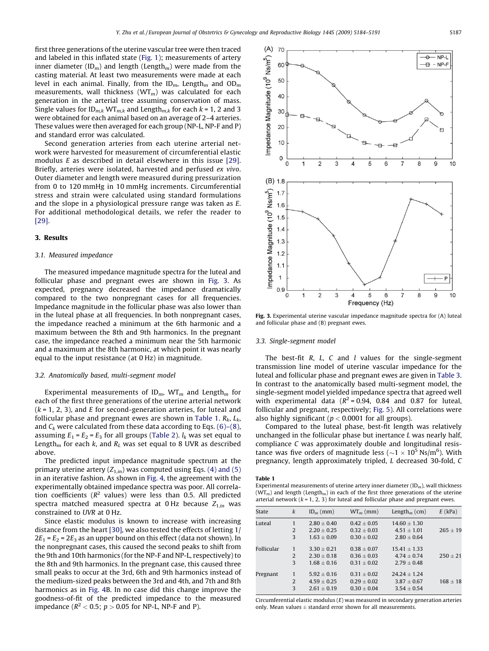<span id="page-3-0"></span>first three generations of the uterine vascular tree were then traced and labeled in this inflated state [\(Fig. 1](#page-1-0)); measurements of artery inner diameter (ID<sub>m</sub>) and length (Length<sub>m</sub>) were made from the casting material. At least two measurements were made at each level in each animal. Finally, from the ID<sub>m</sub>, Length<sub>m</sub> and OD<sub>m</sub> measurements, wall thickness ( $WT_m$ ) was calculated for each generation in the arterial tree assuming conservation of mass. Single values for  $ID_{m,k} WT_{m,k}$  and Length<sub>m,k</sub> for each  $k = 1, 2$  and 3 were obtained for each animal based on an average of 2–4 arteries. These values were then averaged for each group (NP-L, NP-F and P) and standard error was calculated.

Second generation arteries from each uterine arterial network were harvested for measurement of circumferential elastic modulus E as described in detail elsewhere in this issue [\[29\].](#page-7-0) Briefly, arteries were isolated, harvested and perfused ex vivo. Outer diameter and length were measured during pressurization from 0 to 120 mmHg in 10 mmHg increments. Circumferential stress and strain were calculated using standard formulations and the slope in a physiological pressure range was taken as E. For additional methodological details, we refer the reader to [\[29\].](#page-7-0)

## 3. Results

## 3.1. Measured impedance

The measured impedance magnitude spectra for the luteal and follicular phase and pregnant ewes are shown in Fig. 3. As expected, pregnancy decreased the impedance dramatically compared to the two nonpregnant cases for all frequencies. Impedance magnitude in the follicular phase was also lower than in the luteal phase at all frequencies. In both nonpregnant cases, the impedance reached a minimum at the 6th harmonic and a maximum between the 8th and 9th harmonics. In the pregnant case, the impedance reached a minimum near the 5th harmonic and a maximum at the 8th harmonic, at which point it was nearly equal to the input resistance (at 0 Hz) in magnitude.

## 3.2. Anatomically based, multi-segment model

Experimental measurements of  $ID_m$ ,  $WT_m$  and Length<sub>m</sub> for each of the first three generations of the uterine arterial network  $(k = 1, 2, 3)$ , and E for second-generation arteries, for luteal and follicular phase and pregnant ewes are shown in Table 1.  $R_k$ ,  $L_k$ , and  $C_k$  were calculated from these data according to Eqs. [\(6\)–\(8\),](#page-2-0) assuming  $E_1 = E_2 = E_3$  for all groups [\(Table 2\)](#page-4-0).  $l_k$  was set equal to Length<sub>m</sub> for each k, and  $R_L$  was set equal to 8 UVR as described above.

The predicted input impedance magnitude spectrum at the primary uterine artery  $(Z_{1,in})$  was computed using Eqs. [\(4\) and \(5\)](#page-1-0) in an iterative fashion. As shown in [Fig. 4](#page-4-0), the agreement with the experimentally obtained impedance spectra was poor. All correlation coefficients ( $R^2$  values) were less than 0.5. All predicted spectra matched measured spectra at 0 Hz because  $Z_{1,in}$  was constrained to UVR at 0 Hz.

Since elastic modulus is known to increase with increasing distance from the heart [\[30\],](#page-7-0) we also tested the effects of letting 1/  $2E_1 = E_2 = 2E_3$  as an upper bound on this effect (data not shown). In the nonpregnant cases, this caused the second peaks to shift from the 9th and 10th harmonics (for the NP-F and NP-L, respectively) to the 8th and 9th harmonics. In the pregnant case, this caused three small peaks to occur at the 3rd, 6th and 9th harmonics instead of the medium-sized peaks between the 3rd and 4th, and 7th and 8th harmonics as in [Fig. 4](#page-4-0)B. In no case did this change improve the goodness-of-fit of the predicted impedance to the measured impedance ( $R^2$  < 0.5; p > 0.05 for NP-L, NP-F and P).



Fig. 3. Experimental uterine vascular impedance magnitude spectra for (A) luteal and follicular phase and (B) pregnant ewes.

## 3.3. Single-segment model

The best-fit  $R$ ,  $L$ ,  $C$  and  $l$  values for the single-segment transmission line model of uterine vascular impedance for the luteal and follicular phase and pregnant ewes are given in [Table 3.](#page-4-0) In contrast to the anatomically based multi-segment model, the single-segment model yielded impedance spectra that agreed well with experimental data ( $R^2$  = 0.94, 0.84 and 0.87 for luteal, follicular and pregnant, respectively; [Fig. 5](#page-4-0)). All correlations were also highly significant ( $p < 0.0001$  for all groups).

Compared to the luteal phase, best-fit length was relatively unchanged in the follicular phase but inertance L was nearly half, compliance C was approximately double and longitudinal resistance was five orders of magnitude less ( ${\sim}1 \times 10^5$  Ns/m $^6$ ). With pregnancy, length approximately tripled, L decreased 30-fold, C

#### Table 1

Experimental measurements of uterine artery inner diameter  $(ID_m)$ , wall thickness ( $WT_m$ ) and length (Length<sub>m</sub>) in each of the first three generations of the uterine arterial network  $(k = 1, 2, 3)$  for luteal and follicular phase and pregnant ewes.

| State      | k              | $ID_m$ (mm)     | $WT_m$ (mm)   | Length <sub>m</sub> (cm) | $E$ (kPa)  |
|------------|----------------|-----------------|---------------|--------------------------|------------|
| Luteal     | 1              | $2.80 \pm 0.40$ | $0.42 + 0.05$ | $14.60 \pm 1.30$         |            |
|            | $\overline{2}$ | $2.20 + 0.25$   | $0.32 + 0.03$ | $4.51 + 1.01$            | $265 + 19$ |
|            | 3              | $1.63 + 0.09$   | $0.30 + 0.02$ | $2.80 \pm 0.64$          |            |
| Follicular | 1              | $3.30 + 0.21$   | $0.38 + 0.07$ | $15.41 + 1.33$           |            |
|            | $\overline{2}$ | $2.30 + 0.18$   | $0.36 + 0.03$ | $4.74 + 0.74$            | $250 + 21$ |
|            | 3              | $1.68 + 0.16$   | $0.31 + 0.02$ | $2.79 + 0.48$            |            |
| Pregnant   | 1              | $5.92 + 0.16$   | $0.31 + 0.02$ | $24.24 + 1.24$           |            |
|            | $\overline{2}$ | $4.59 + 0.25$   | $0.29 + 0.02$ | $3.87 + 0.67$            | $168 + 18$ |
|            | 3              | $2.61 + 0.19$   | $0.30 + 0.04$ | $3.54 + 0.54$            |            |
|            |                |                 |               |                          |            |

Circumferential elastic modulus  $(E)$  was measured in secondary generation arteries only. Mean values  $+$  standard error shown for all measurements.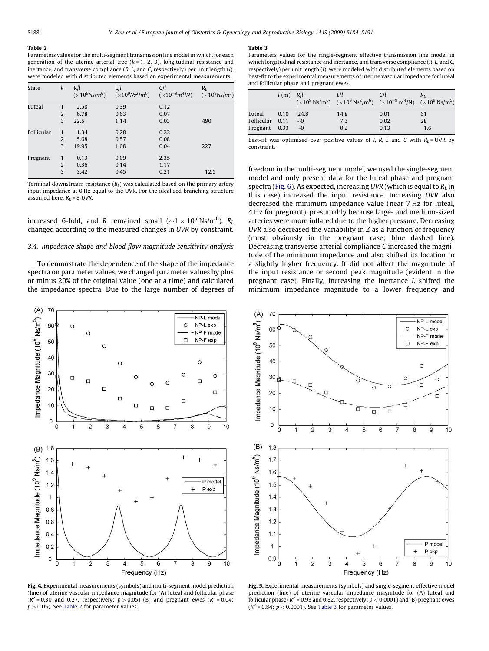)

## <span id="page-4-0"></span>Table 2

Parameters values for the multi-segment transmission line model in which, for each generation of the uterine arterial tree  $(k = 1, 2, 3)$ , longitudinal resistance and inertance, and transverse compliance  $(R, L,$  and  $C$ , respectively) per unit length  $(l)$ , were modeled with distributed elements based on experimental measurements.

| State      | k              | R/l<br>$(\times 10^9$ Ns/m <sup>6</sup> ) | L/l<br>$(\times 10^9$ Ns <sup>2</sup> /m <sup>6</sup> ) | C/l<br>$(\times 10^{-9} m^4/N)$ | $R_{L}$<br>$(x10^9$ Ns/m <sup>5</sup> |
|------------|----------------|-------------------------------------------|---------------------------------------------------------|---------------------------------|---------------------------------------|
| Luteal     |                | 2.58                                      | 0.39                                                    | 0.12                            |                                       |
|            | 2              | 6.78                                      | 0.63                                                    | 0.07                            |                                       |
|            | 3              | 22.5                                      | 1.14                                                    | 0.03                            | 490                                   |
| Follicular | 1              | 1.34                                      | 0.28                                                    | 0.22                            |                                       |
|            | $\overline{2}$ | 5.68                                      | 0.57                                                    | 0.08                            |                                       |
|            | 3              | 19.95                                     | 1.08                                                    | 0.04                            | 227                                   |
| Pregnant   | 1              | 0.13                                      | 0.09                                                    | 2.35                            |                                       |
|            | $\overline{2}$ | 0.36                                      | 0.14                                                    | 1.17                            |                                       |
|            | 3              | 3.42                                      | 0.45                                                    | 0.21                            | 12.5                                  |

Terminal downstream resistance  $(R_L)$  was calculated based on the primary artery input impedance at 0 Hz equal to the UVR. For the idealized branching structure assumed here,  $R_l = 8$  UVR.

increased 6-fold, and R remained small ( ${\sim}1 \times 10^5 \, \mathrm{Ns/m^6}$ ).  $R_L$ changed according to the measured changes in UVR by constraint.

## 3.4. Impedance shape and blood flow magnitude sensitivity analysis

To demonstrate the dependence of the shape of the impedance spectra on parameter values, we changed parameter values by plus or minus 20% of the original value (one at a time) and calculated the impedance spectra. Due to the large number of degrees of



Fig. 4. Experimental measurements (symbols) and multi-segment model prediction (line) of uterine vascular impedance magnitude for (A) luteal and follicular phase  $(R^2 = 0.30$  and 0.27, respectively;  $p > 0.05$ ) (B) and pregnant ewes  $(R^2 = 0.04)$ ;  $p > 0.05$ ). See Table 2 for parameter values.

### Table 3

Parameters values for the single-segment effective transmission line model in which longitudinal resistance and inertance, and transverse compliance (R, L, and C, respectively) per unit length (l), were modeled with distributed elements based on best-fit to the experimental measurements of uterine vascular impedance for luteal and follicular phase and pregnant ewes.

| $(\times 10^{9} \text{ Ns/m}^{6})$ $(\times 10^{9} \text{ Ns}^{2}/\text{m}^{6})$ $(\times 10^{-9} \text{ m}^{4}/\text{N})$ $(\times 10^{9} \text{ Ns/m}^{5})$ |
|---------------------------------------------------------------------------------------------------------------------------------------------------------------|
|                                                                                                                                                               |
|                                                                                                                                                               |
|                                                                                                                                                               |
|                                                                                                                                                               |

Best-fit was optimized over positive values of *l*, *R*, *L* and *C* with  $R_L$  = UVR by constraint.

freedom in the multi-segment model, we used the single-segment model and only present data for the luteal phase and pregnant spectra [\(Fig. 6\)](#page-5-0). As expected, increasing UVR (which is equal to  $R<sub>I</sub>$  in this case) increased the input resistance. Increasing UVR also decreased the minimum impedance value (near 7 Hz for luteal, 4 Hz for pregnant), presumably because large- and medium-sized arteries were more inflated due to the higher pressure. Decreasing UVR also decreased the variability in Z as a function of frequency (most obviously in the pregnant case; blue dashed line). Decreasing transverse arterial compliance C increased the magnitude of the minimum impedance and also shifted its location to a slightly higher frequency. It did not affect the magnitude of the input resistance or second peak magnitude (evident in the pregnant case). Finally, increasing the inertance L shifted the minimum impedance magnitude to a lower frequency and



Fig. 5. Experimental measurements (symbols) and single-segment effective model prediction (line) of uterine vascular impedance magnitude for (A) luteal and follicular phase ( $R^2$  = 0.93 and 0.82, respectively;  $p < 0.0001$ ) and (B) pregnant ewes  $(R^2 = 0.84; p < 0.0001)$ . See Table 3 for parameter values.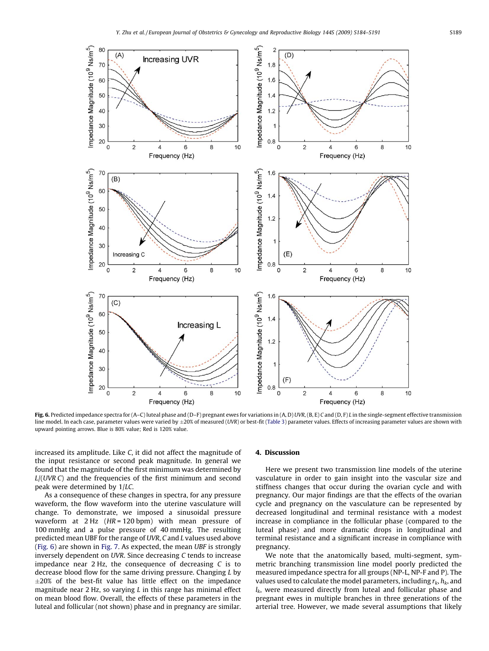<span id="page-5-0"></span>

Fig. 6. Predicted impedance spectra for  $(A-C)$  luteal phase and  $(D-F)$  pregnant ewes for variations in  $(A, D)$  UVR,  $(B, E)$  C and  $(D, F)$  L in the single-segment effective transmission line model. In each case, parameter values were varied by  $\pm 20\%$  of measured (UVR) or best-fit ([Table 3\)](#page-4-0) parameter values. Effects of increasing parameter values are shown with upward pointing arrows. Blue is 80% value; Red is 120% value.

increased its amplitude. Like C, it did not affect the magnitude of the input resistance or second peak magnitude. In general we found that the magnitude of the first minimum was determined by  $L/(UVR)$  and the frequencies of the first minimum and second peak were determined by 1/LC.

As a consequence of these changes in spectra, for any pressure waveform, the flow waveform into the uterine vasculature will change. To demonstrate, we imposed a sinusoidal pressure waveform at 2 Hz (HR = 120 bpm) with mean pressure of 100 mmHg and a pulse pressure of 40 mmHg. The resulting predicted mean UBF for the range of UVR, C and L values used above (Fig. 6) are shown in [Fig. 7.](#page-6-0) As expected, the mean UBF is strongly inversely dependent on UVR. Since decreasing C tends to increase impedance near 2 Hz, the consequence of decreasing C is to decrease blood flow for the same driving pressure. Changing L by  $\pm 20\%$  of the best-fit value has little effect on the impedance magnitude near  $2$  Hz, so varying  $L$  in this range has minimal effect on mean blood flow. Overall, the effects of these parameters in the luteal and follicular (not shown) phase and in pregnancy are similar.

## 4. Discussion

Here we present two transmission line models of the uterine vasculature in order to gain insight into the vascular size and stiffness changes that occur during the ovarian cycle and with pregnancy. Our major findings are that the effects of the ovarian cycle and pregnancy on the vasculature can be represented by decreased longitudinal and terminal resistance with a modest increase in compliance in the follicular phase (compared to the luteal phase) and more dramatic drops in longitudinal and terminal resistance and a significant increase in compliance with pregnancy.

We note that the anatomically based, multi-segment, symmetric branching transmission line model poorly predicted the measured impedance spectra for all groups (NP-L, NP-F and P). The values used to calculate the model parameters, including  $r_k$ ,  $h_k$ , and  $l_k$ , were measured directly from luteal and follicular phase and pregnant ewes in multiple branches in three generations of the arterial tree. However, we made several assumptions that likely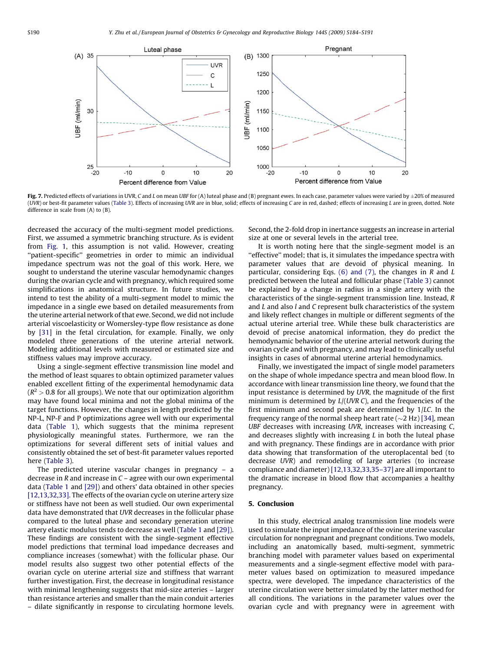<span id="page-6-0"></span>

Fig. 7. Predicted effects of variations in UVR, C and L on mean UBF for (A) luteal phase and (B) pregnant ewes. In each case, parameter values were varied by  $\pm 20\%$  of measured (UVR) or best-fit parameter values [\(Table 3\)](#page-4-0). Effects of increasing UVR are in blue, solid; effects of increasing C are in red, dashed; effects of increasing L are in green, dotted. Note difference in scale from (A) to (B).

decreased the accuracy of the multi-segment model predictions. First, we assumed a symmetric branching structure. As is evident from [Fig. 1,](#page-1-0) this assumption is not valid. However, creating ''patient-specific'' geometries in order to mimic an individual impedance spectrum was not the goal of this work. Here, we sought to understand the uterine vascular hemodynamic changes during the ovarian cycle and with pregnancy, which required some simplifications in anatomical structure. In future studies, we intend to test the ability of a multi-segment model to mimic the impedance in a single ewe based on detailed measurements from the uterine arterial network of that ewe. Second, we did not include arterial viscoelasticity or Womersley-type flow resistance as done by [\[31\]](#page-7-0) in the fetal circulation, for example. Finally, we only modeled three generations of the uterine arterial network. Modeling additional levels with measured or estimated size and stiffness values may improve accuracy.

Using a single-segment effective transmission line model and the method of least squares to obtain optimized parameter values enabled excellent fitting of the experimental hemodynamic data  $(R^2 > 0.8$  for all groups). We note that our optimization algorithm may have found local minima and not the global minima of the target functions. However, the changes in length predicted by the NP-L, NP-F and P optimizations agree well with our experimental data ([Table 1\)](#page-3-0), which suggests that the minima represent physiologically meaningful states. Furthermore, we ran the optimizations for several different sets of initial values and consistently obtained the set of best-fit parameter values reported here ([Table 3\)](#page-4-0).

The predicted uterine vascular changes in pregnancy – a decrease in  $R$  and increase in  $C$  – agree with our own experimental data ([Table 1](#page-3-0) and [\[29\]\)](#page-7-0) and others' data obtained in other species [\[12,13,32,33\]](#page-7-0). The effects of the ovarian cycle on uterine artery size or stiffness have not been as well studied. Our own experimental data have demonstrated that UVR decreases in the follicular phase compared to the luteal phase and secondary generation uterine artery elastic modulus tends to decrease as well ([Table 1](#page-3-0) and [\[29\]\)](#page-7-0). These findings are consistent with the single-segment effective model predictions that terminal load impedance decreases and compliance increases (somewhat) with the follicular phase. Our model results also suggest two other potential effects of the ovarian cycle on uterine arterial size and stiffness that warrant further investigation. First, the decrease in longitudinal resistance with minimal lengthening suggests that mid-size arteries – larger than resistance arteries and smaller than the main conduit arteries – dilate significantly in response to circulating hormone levels. Second, the 2-fold drop in inertance suggests an increase in arterial size at one or several levels in the arterial tree.

It is worth noting here that the single-segment model is an ''effective'' model; that is, it simulates the impedance spectra with parameter values that are devoid of physical meaning. In particular, considering Eqs.  $(6)$  and  $(7)$ , the changes in R and L predicted between the luteal and follicular phase ([Table 3\)](#page-4-0) cannot be explained by a change in radius in a single artery with the characteristics of the single-segment transmission line. Instead, R and L and also l and C represent bulk characteristics of the system and likely reflect changes in multiple or different segments of the actual uterine arterial tree. While these bulk characteristics are devoid of precise anatomical information, they do predict the hemodynamic behavior of the uterine arterial network during the ovarian cycle and with pregnancy, and may lead to clinically useful insights in cases of abnormal uterine arterial hemodynamics.

Finally, we investigated the impact of single model parameters on the shape of whole impedance spectra and mean blood flow. In accordance with linear transmission line theory, we found that the input resistance is determined by UVR, the magnitude of the first minimum is determined by  $L/(UVR)$ , and the frequencies of the first minimum and second peak are determined by  $1/LC$ . In the frequency range of the normal sheep heart rate  $({\sim}2$  Hz) [\[34\],](#page-7-0) mean UBF decreases with increasing UVR, increases with increasing C, and decreases slightly with increasing  $L$  in both the luteal phase and with pregnancy. These findings are in accordance with prior data showing that transformation of the uteroplacental bed (to decrease UVR) and remodeling of large arteries (to increase compliance and diameter) [\[12,13,32,33,35–37\]](#page-7-0) are all important to the dramatic increase in blood flow that accompanies a healthy pregnancy.

# 5. Conclusion

In this study, electrical analog transmission line models were used to simulate the input impedance of the ovine uterine vascular circulation for nonpregnant and pregnant conditions. Two models, including an anatomically based, multi-segment, symmetric branching model with parameter values based on experimental measurements and a single-segment effective model with parameter values based on optimization to measured impedance spectra, were developed. The impedance characteristics of the uterine circulation were better simulated by the latter method for all conditions. The variations in the parameter values over the ovarian cycle and with pregnancy were in agreement with